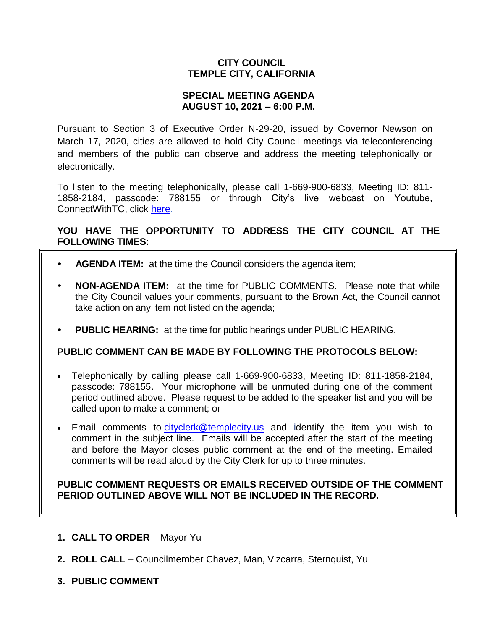# **CITY COUNCIL TEMPLE CITY, CALIFORNIA**

### **SPECIAL MEETING AGENDA AUGUST 10, 2021 – 6:00 P.M.**

Pursuant to Section 3 of Executive Order N-29-20, issued by Governor Newson on March 17, 2020, cities are allowed to hold City Council meetings via teleconferencing and members of the public can observe and address the meeting telephonically or electronically.

To listen to the meeting telephonically, please call 1-669-900-6833, Meeting ID: 811- 1858-2184, passcode: 788155 or through City's live webcast on Youtube, ConnectWithTC, click [here.](https://www.ci.temple-city.ca.us/516/Meeting-Webcast)

# **YOU HAVE THE OPPORTUNITY TO ADDRESS THE CITY COUNCIL AT THE FOLLOWING TIMES:**

- **AGENDA ITEM:** at the time the Council considers the agenda item;
- **NON-AGENDA ITEM:** at the time for PUBLIC COMMENTS. Please note that while the City Council values your comments, pursuant to the Brown Act, the Council cannot take action on any item not listed on the agenda;
- **PUBLIC HEARING:** at the time for public hearings under PUBLIC HEARING.

#### **PUBLIC COMMENT CAN BE MADE BY FOLLOWING THE PROTOCOLS BELOW:**

- Telephonically by calling please call 1-669-900-6833, Meeting ID: 811-1858-2184, passcode: 788155. Your microphone will be unmuted during one of the comment period outlined above. Please request to be added to the speaker list and you will be called upon to make a comment; or
- Email comments to [cityclerk@templecity.us](mailto:cityclerk@templecity.us) and identify the item you wish to comment in the subject line. Emails will be accepted after the start of the meeting and before the Mayor closes public comment at the end of the meeting. Emailed comments will be read aloud by the City Clerk for up to three minutes.

#### **PUBLIC COMMENT REQUESTS OR EMAILS RECEIVED OUTSIDE OF THE COMMENT PERIOD OUTLINED ABOVE WILL NOT BE INCLUDED IN THE RECORD.**

- **1. CALL TO ORDER**  Mayor Yu
- **2. ROLL CALL**  Councilmember Chavez, Man, Vizcarra, Sternquist, Yu
- **3. PUBLIC COMMENT**